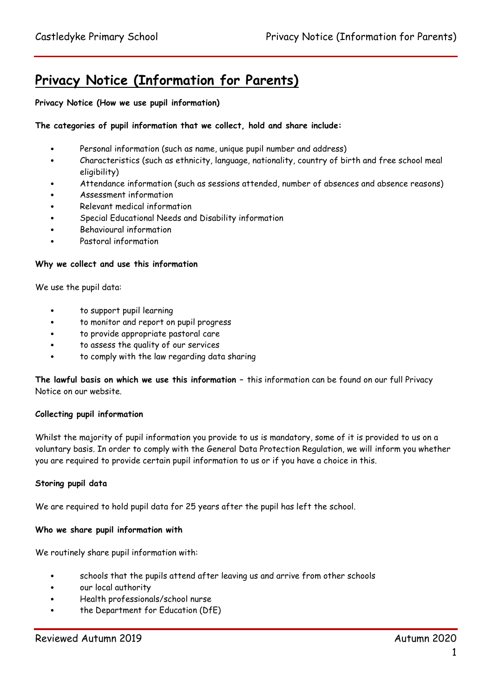# **Privacy Notice (Information for Parents)**

**Privacy Notice (How we use pupil information)**

### **The categories of pupil information that we collect, hold and share include:**

- Personal information (such as name, unique pupil number and address)
- Characteristics (such as ethnicity, language, nationality, country of birth and free school meal eligibility)
- Attendance information (such as sessions attended, number of absences and absence reasons)
- Assessment information
- Relevant medical information
- Special Educational Needs and Disability information
- Behavioural information
- Pastoral information

#### **Why we collect and use this information**

We use the pupil data:

- to support pupil learning
- to monitor and report on pupil progress
- to provide appropriate pastoral care
- to assess the quality of our services
- to comply with the law regarding data sharing

**The lawful basis on which we use this information –** this information can be found on our full Privacy Notice on our website.

#### **Collecting pupil information**

Whilst the majority of pupil information you provide to us is mandatory, some of it is provided to us on a voluntary basis. In order to comply with the General Data Protection Regulation, we will inform you whether you are required to provide certain pupil information to us or if you have a choice in this.

#### **Storing pupil data**

We are required to hold pupil data for 25 years after the pupil has left the school.

#### **Who we share pupil information with**

We routinely share pupil information with:

- schools that the pupils attend after leaving us and arrive from other schools
- our local authority
- Health professionals/school nurse
- the Department for Education (DfE)